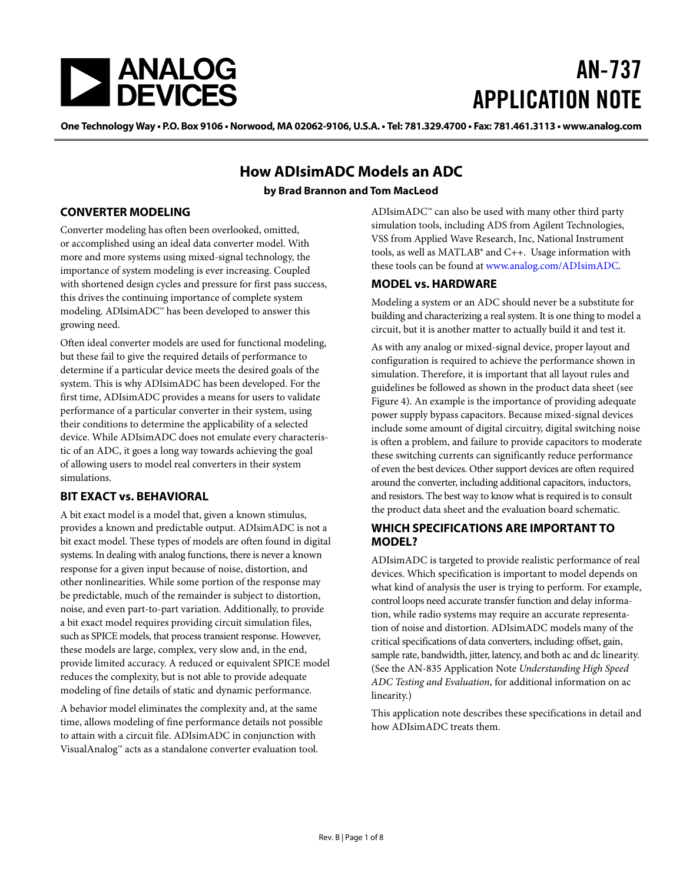

# AN-737 APPLICATION NOTE

One Technology Way • P.O. Box 9106 • Norwood, MA 02062-9106, U.S.A. • Tel: 781.329.4700 • Fax: 781.461.3113 • www.analog.com

## **How ADIsimADC Models an ADC**

#### **by Brad Brannon and Tom MacLeod**

#### <span id="page-0-0"></span>**CONVERTER MODELING**

Converter modeling has often been overlooked, omitted, or accomplished using an ideal data converter model. With more and more systems using mixed-signal technology, the importance of system modeling is ever increasing. Coupled with shortened design cycles and pressure for first pass success, this drives the continuing importance of complete system modeling. ADIsimADC™ has been developed to answer this growing need.

Often ideal converter models are used for functional modeling, but these fail to give the required details of performance to determine if a particular device meets the desired goals of the system. This is why ADIsimADC has been developed. For the first time, ADIsimADC provides a means for users to validate performance of a particular converter in their system, using their conditions to determine the applicability of a selected device. While ADIsimADC does not emulate every characteristic of an ADC, it goes a long way towards achieving the goal of allowing users to model real converters in their system simulations.

#### <span id="page-0-1"></span>**BIT EXACT vs. BEHAVIORAL**

A bit exact model is a model that, given a known stimulus, provides a known and predictable output. ADIsimADC is not a bit exact model. These types of models are often found in digital systems. In dealing with analog functions, there is never a known response for a given input because of noise, distortion, and other nonlinearities. While some portion of the response may be predictable, much of the remainder is subject to distortion, noise, and even part-to-part variation. Additionally, to provide a bit exact model requires providing circuit simulation files, such as SPICE models, that process transient response. However, these models are large, complex, very slow and, in the end, provide limited accuracy. A reduced or equivalent SPICE model reduces the complexity, but is not able to provide adequate modeling of fine details of static and dynamic performance.

A behavior model eliminates the complexity and, at the same time, allows modeling of fine performance details not possible to attain with a circuit file. ADIsimADC in conjunction with VisualAnalog™ acts as a standalone converter evaluation tool.

ADIsimADC $<sup>−</sup>$  can also be used with many other third party</sup> simulation tools, including ADS from Agilent Technologies, VSS from Applied Wave Research, Inc, National Instrument tools, as well as MATLAB® and C++. Usage information with these tools can be found at [www.analog.com/](http://www.analog.com/adisimadc)ADIsimADC.

#### <span id="page-0-2"></span>**MODEL vs. HARDWARE**

Modeling a system or an ADC should never be a substitute for building and characterizing a real system. It is one thing to model a circuit, but it is another matter to actually build it and test it.

As with any analog or mixed-signal device, proper layout and configuration is required to achieve the performance shown in simulation. Therefore, it is important that all layout rules and guidelines be followed as shown in the product data sheet (see [Figure 4\)](#page-3-0). An example is the importance of providing adequate power supply bypass capacitors. Because mixed-signal devices include some amount of digital circuitry, digital switching noise is often a problem, and failure to provide capacitors to moderate these switching currents can significantly reduce performance of even the best devices. Other support devices are often required around the converter, including additional capacitors, inductors, and resistors. The best way to know what is required is to consult the product data sheet and the evaluation board schematic.

#### <span id="page-0-3"></span>**WHICH SPECIFICATIONS ARE IMPORTANT TO MODEL?**

ADIsimADC is targeted to provide realistic performance of real devices. Which specification is important to model depends on what kind of analysis the user is trying to perform. For example, control loops need accurate transfer function and delay information, while radio systems may require an accurate representation of noise and distortion. ADIsimADC models many of the critical specifications of data converters, including: offset, gain, sample rate, bandwidth, jitter, latency, and both ac and dc linearity. (See the AN-835 Application Note *Understanding High Speed ADC Testing and Evaluation*, for additional information on ac linearity.)

This application note describes these specifications in detail and how ADIsimADC treats them.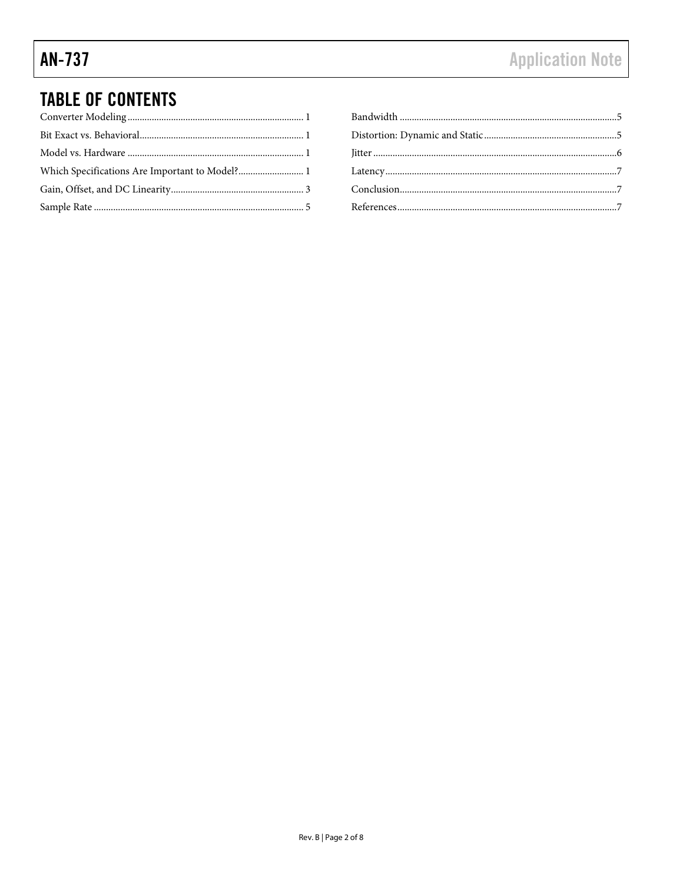## **TABLE OF CONTENTS**

| Which Specifications Are Important to Model? 1 |  |
|------------------------------------------------|--|
|                                                |  |
|                                                |  |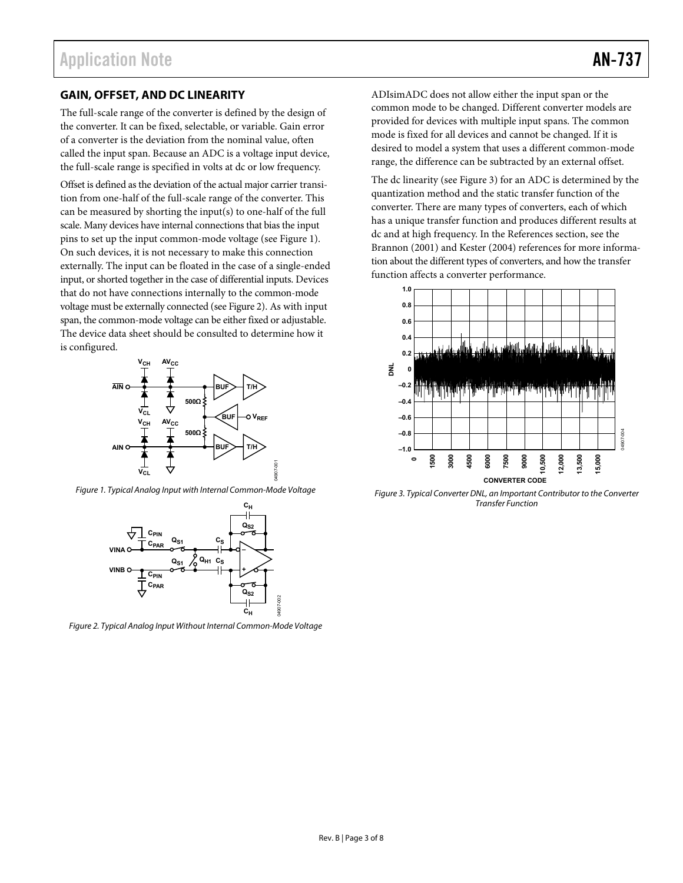#### <span id="page-2-0"></span>**GAIN, OFFSET, AND DC LINEARITY**

The full-scale range of the converter is defined by the design of the converter. It can be fixed, selectable, or variable. Gain error of a converter is the deviation from the nominal value, often called the input span. Because an ADC is a voltage input device, the full-scale range is specified in volts at dc or low frequency.

Offset is defined as the deviation of the actual major carrier transition from one-half of the full-scale range of the converter. This can be measured by shorting the input(s) to one-half of the full scale. Many devices have internal connections that bias the input pins to set up the input common-mode voltage (see [Figure 1\)](#page-2-1). On such devices, it is not necessary to make this connection externally. The input can be floated in the case of a single-ended input, or shorted together in the case of differential inputs. Devices that do not have connections internally to the common-mode voltage must be externally connected (se[e Figure 2\)](#page-2-2). As with input span, the common-mode voltage can be either fixed or adjustable. The device data sheet should be consulted to determine how it is configured.



<span id="page-2-1"></span>Figure 1. Typical Analog Input with Internal Common-Mode Voltage



<span id="page-2-2"></span>Figure 2. Typical Analog Input Without Internal Common-Mode Voltage

ADIsimADC does not allow either the input span or the common mode to be changed. Different converter models are provided for devices with multiple input spans. The common mode is fixed for all devices and cannot be changed. If it is desired to model a system that uses a different common-mode range, the difference can be subtracted by an external offset.

The dc linearity (see [Figure 3\)](#page-2-3) for an ADC is determined by the quantization method and the static transfer function of the converter. There are many types of converters, each of which has a unique transfer function and produces different results at dc and at high frequency. In the [References](#page-6-2) section, see the Brannon (2001) and Kester (2004) references for more information about the different types of converters, and how the transfer function affects a converter performance.



<span id="page-2-3"></span>Figure 3. Typical Converter DNL, an Important Contributor to the Converter Transfer Function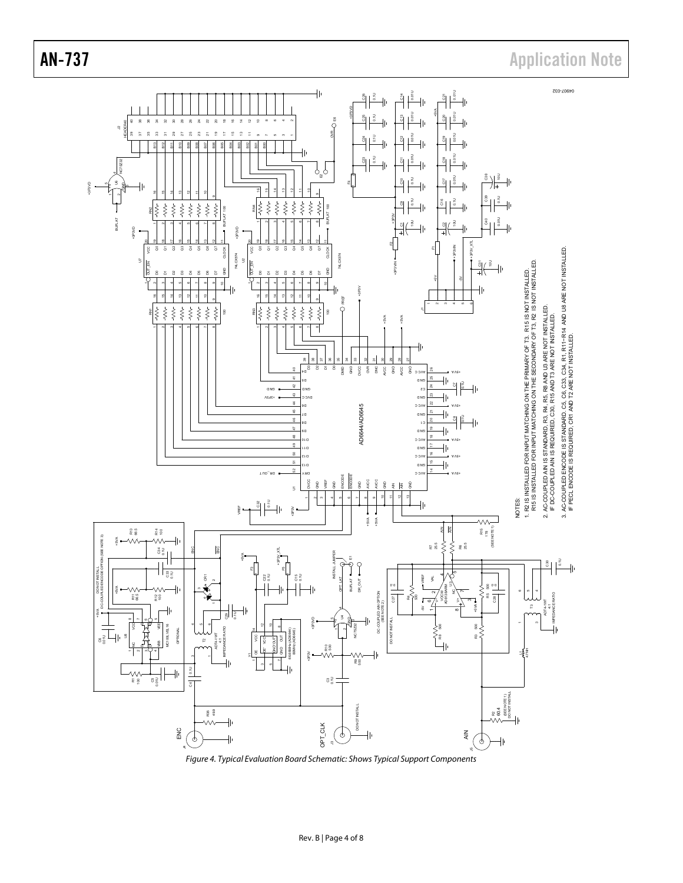

<span id="page-3-0"></span>Figure 4. Typical Evaluation Board Schematic: Shows Typical Support Components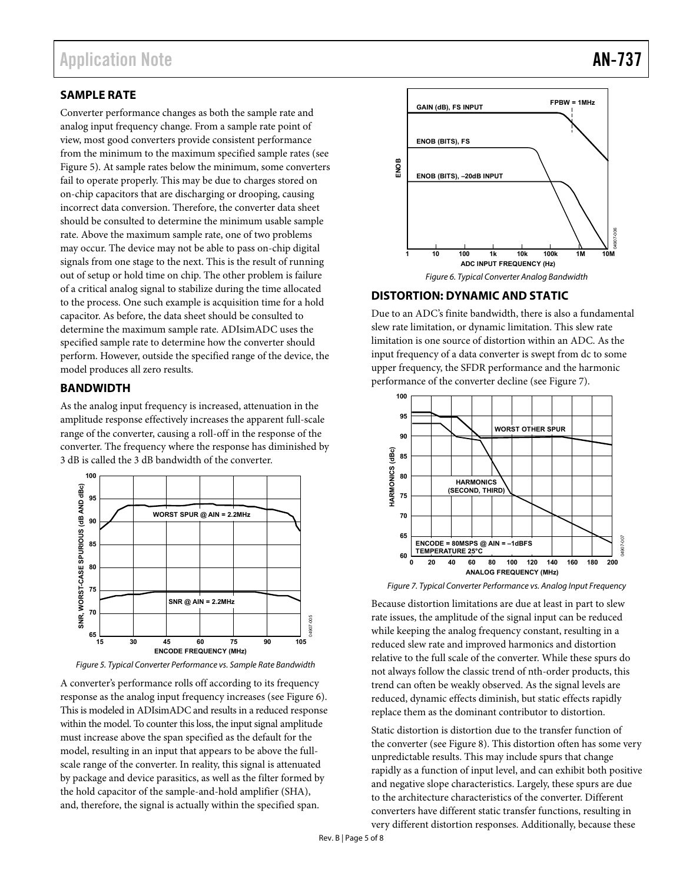#### <span id="page-4-0"></span>**SAMPLE RATE**

Converter performance changes as both the sample rate and analog input frequency change. From a sample rate point of view, most good converters provide consistent performance from the minimum to the maximum specified sample rates (see [Figure 5\)](#page-4-3). At sample rates below the minimum, some converters fail to operate properly. This may be due to charges stored on on-chip capacitors that are discharging or drooping, causing incorrect data conversion. Therefore, the converter data sheet should be consulted to determine the minimum usable sample rate. Above the maximum sample rate, one of two problems may occur. The device may not be able to pass on-chip digital signals from one stage to the next. This is the result of running out of setup or hold time on chip. The other problem is failure of a critical analog signal to stabilize during the time allocated to the process. One such example is acquisition time for a hold capacitor. As before, the data sheet should be consulted to determine the maximum sample rate. ADIsimADC uses the specified sample rate to determine how the converter should perform. However, outside the specified range of the device, the model produces all zero results.

#### <span id="page-4-1"></span>**BANDWIDTH**

As the analog input frequency is increased, attenuation in the amplitude response effectively increases the apparent full-scale range of the converter, causing a roll-off in the response of the converter. The frequency where the response has diminished by 3 dB is called the 3 dB bandwidth of the converter.



<span id="page-4-3"></span>

A converter's performance rolls off according to its frequency response as the analog input frequency increases (see [Figure 6\)](#page-4-4). This is modeled in ADIsimADC and results in a reduced response within the model. To counter this loss, the input signal amplitude must increase above the span specified as the default for the model, resulting in an input that appears to be above the fullscale range of the converter. In reality, this signal is attenuated by package and device parasitics, as well as the filter formed by the hold capacitor of the sample-and-hold amplifier (SHA), and, therefore, the signal is actually within the specified span.



#### <span id="page-4-4"></span><span id="page-4-2"></span>**DISTORTION: DYNAMIC AND STATIC**

Due to an ADC's finite bandwidth, there is also a fundamental slew rate limitation, or dynamic limitation. This slew rate limitation is one source of distortion within an ADC. As the input frequency of a data converter is swept from dc to some upper frequency, the SFDR performance and the harmonic performance of the converter decline (se[e Figure 7\)](#page-4-5).



<span id="page-4-5"></span>Figure 7. Typical Converter Performance vs. Analog Input Frequency

Because distortion limitations are due at least in part to slew rate issues, the amplitude of the signal input can be reduced while keeping the analog frequency constant, resulting in a reduced slew rate and improved harmonics and distortion relative to the full scale of the converter. While these spurs do not always follow the classic trend of nth-order products, this trend can often be weakly observed. As the signal levels are reduced, dynamic effects diminish, but static effects rapidly replace them as the dominant contributor to distortion.

Static distortion is distortion due to the transfer function of the converter (se[e Figure 8\)](#page-5-1). This distortion often has some very unpredictable results. This may include spurs that change rapidly as a function of input level, and can exhibit both positive and negative slope characteristics. Largely, these spurs are due to the architecture characteristics of the converter. Different converters have different static transfer functions, resulting in very different distortion responses. Additionally, because these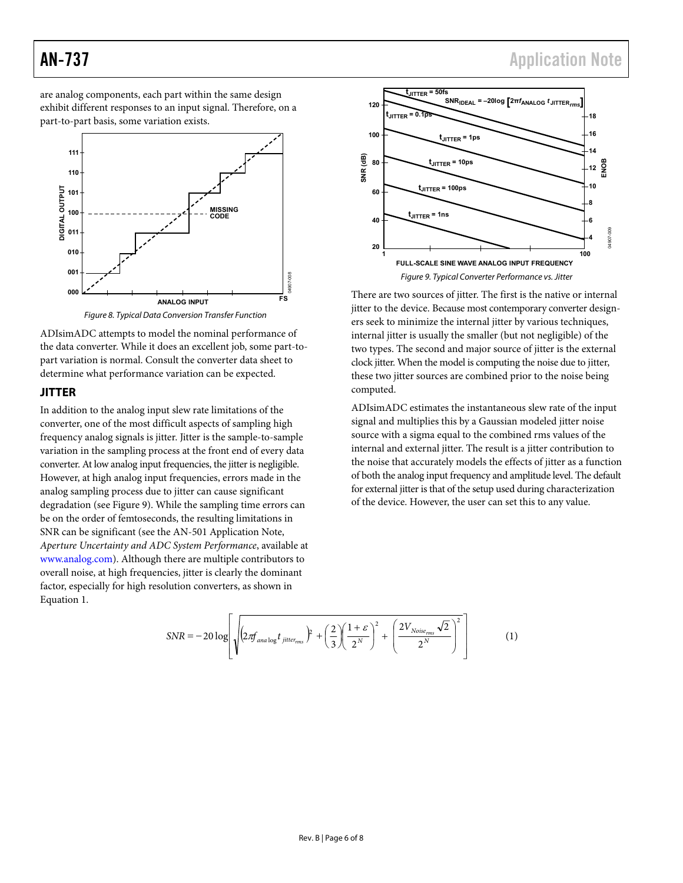<span id="page-5-0"></span>are analog components, each part within the same design exhibit different responses to an input signal. Therefore, on a part-to-part basis, some variation exists.



Figure 8. Typical Data Conversion Transfer Function

<span id="page-5-1"></span>ADIsimADC attempts to model the nominal performance of the data converter. While it does an excellent job, some part-topart variation is normal. Consult the converter data sheet to determine what performance variation can be expected.

#### **JITTER**

In addition to the analog input slew rate limitations of the converter, one of the most difficult aspects of sampling high frequency analog signals is jitter. Jitter is the sample-to-sample variation in the sampling process at the front end of every data converter. At low analog input frequencies, the jitter is negligible. However, at high analog input frequencies, errors made in the analog sampling process due to jitter can cause significant degradation (see [Figure 9\)](#page-5-2). While the sampling time errors can be on the order of femtoseconds, the resulting limitations in SNR can be significant (see the AN-501 Application Note, *Aperture Uncertainty and ADC System Performance*, available at [www.analog.com\)](http://www.analog.com/). Although there are multiple contributors to overall noise, at high frequencies, jitter is clearly the dominant factor, especially for high resolution converters, as shown in Equation 1.



<span id="page-5-2"></span>There are two sources of jitter. The first is the native or internal jitter to the device. Because most contemporary converter designers seek to minimize the internal jitter by various techniques, internal jitter is usually the smaller (but not negligible) of the two types. The second and major source of jitter is the external clock jitter. When the model is computing the noise due to jitter, these two jitter sources are combined prior to the noise being computed.

ADIsimADC estimates the instantaneous slew rate of the input signal and multiplies this by a Gaussian modeled jitter noise source with a sigma equal to the combined rms values of the internal and external jitter. The result is a jitter contribution to the noise that accurately models the effects of jitter as a function of both the analog input frequency and amplitude level. The default for external jitter is that of the setup used during characterization of the device. However, the user can set this to any value.

$$
SNR = -20 \log \left[ \sqrt{\left(2 \pi f_{analog} t_{jitter_{rms}}\right)^{2} + \left(\frac{2}{3}\right)\left(\frac{1+\varepsilon}{2^{N}}\right)^{2} + \left(\frac{2 V_{Noise_{rms}}\sqrt{2}}{2^{N}}\right)^{2}} \right] \tag{1}
$$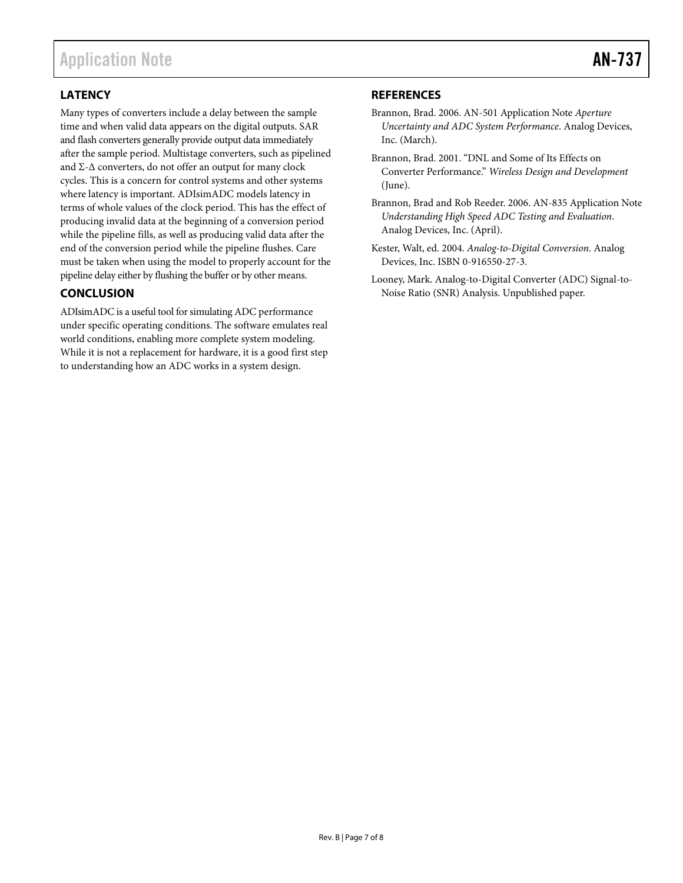### <span id="page-6-0"></span>**LATENCY**

Many types of converters include a delay between the sample time and when valid data appears on the digital outputs. SAR and flash converters generally provide output data immediately after the sample period. Multistage converters, such as pipelined and Σ-Δ converters, do not offer an output for many clock cycles. This is a concern for control systems and other systems where latency is important. ADIsimADC models latency in terms of whole values of the clock period. This has the effect of producing invalid data at the beginning of a conversion period while the pipeline fills, as well as producing valid data after the end of the conversion period while the pipeline flushes. Care must be taken when using the model to properly account for the pipeline delay either by flushing the buffer or by other means.

#### <span id="page-6-1"></span>**CONCLUSION**

ADIsimADC is a useful tool for simulating ADC performance under specific operating conditions. The software emulates real world conditions, enabling more complete system modeling. While it is not a replacement for hardware, it is a good first step to understanding how an ADC works in a system design.

#### <span id="page-6-2"></span>**REFERENCES**

- Brannon, Brad. 2006. AN-501 Application Note *Aperture Uncertainty and ADC System Performance*. Analog Devices, Inc. (March).
- Brannon, Brad. 2001. "DNL and Some of Its Effects on Converter Performance." *Wireless Design and Development* (June).
- Brannon, Brad and Rob Reeder. 2006. AN-835 Application Note *Understanding High Speed ADC Testing and Evaluation*. Analog Devices, Inc. (April).
- Kester, Walt, ed. 2004. *Analog-to-Digital Conversion*. Analog Devices, Inc. ISBN 0-916550-27-3.
- Looney, Mark. Analog-to-Digital Converter (ADC) Signal-to-Noise Ratio (SNR) Analysis. Unpublished paper.